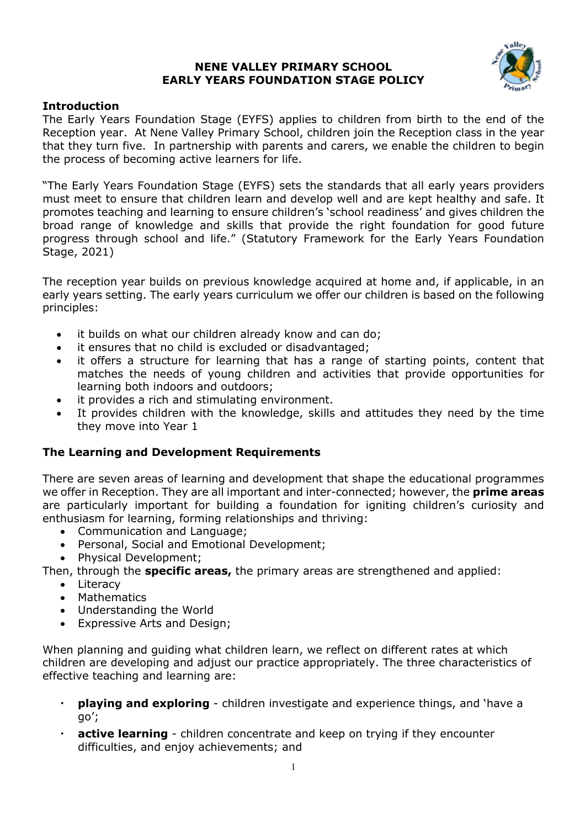## **NENE VALLEY PRIMARY SCHOOL EARLY YEARS FOUNDATION STAGE POLICY**



## **Introduction**

The Early Years Foundation Stage (EYFS) applies to children from birth to the end of the Reception year. At Nene Valley Primary School, children join the Reception class in the year that they turn five. In partnership with parents and carers, we enable the children to begin the process of becoming active learners for life.

"The Early Years Foundation Stage (EYFS) sets the standards that all early years providers must meet to ensure that children learn and develop well and are kept healthy and safe. It promotes teaching and learning to ensure children's 'school readiness' and gives children the broad range of knowledge and skills that provide the right foundation for good future progress through school and life." (Statutory Framework for the Early Years Foundation Stage, 2021)

The reception year builds on previous knowledge acquired at home and, if applicable, in an early years setting. The early years curriculum we offer our children is based on the following principles:

- it builds on what our children already know and can do;
- it ensures that no child is excluded or disadvantaged;
- it offers a structure for learning that has a range of starting points, content that matches the needs of young children and activities that provide opportunities for learning both indoors and outdoors;
- it provides a rich and stimulating environment.
- It provides children with the knowledge, skills and attitudes they need by the time they move into Year 1

## **The Learning and Development Requirements**

There are seven areas of learning and development that shape the educational programmes we offer in Reception. They are all important and inter-connected; however, the **prime areas** are particularly important for building a foundation for igniting children's curiosity and enthusiasm for learning, forming relationships and thriving:

- Communication and Language;
- Personal, Social and Emotional Development;
- Physical Development;

Then, through the **specific areas,** the primary areas are strengthened and applied:

- Literacy
- Mathematics
- Understanding the World
- Expressive Arts and Design;

When planning and guiding what children learn, we reflect on different rates at which children are developing and adjust our practice appropriately. The three characteristics of effective teaching and learning are:

- **playing and exploring**  children investigate and experience things, and 'have a go';
- **active learning**  children concentrate and keep on trying if they encounter difficulties, and enjoy achievements; and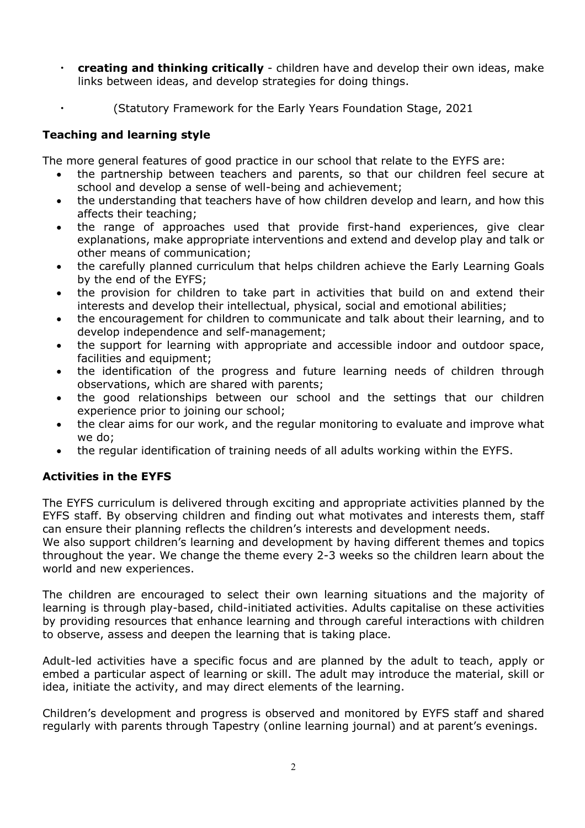- **creating and thinking critically**  children have and develop their own ideas, make links between ideas, and develop strategies for doing things.
	- (Statutory Framework for the Early Years Foundation Stage, 2021

# **Teaching and learning style**

The more general features of good practice in our school that relate to the EYFS are:

- the partnership between teachers and parents, so that our children feel secure at school and develop a sense of well-being and achievement;
- the understanding that teachers have of how children develop and learn, and how this affects their teaching;
- the range of approaches used that provide first-hand experiences, give clear explanations, make appropriate interventions and extend and develop play and talk or other means of communication;
- the carefully planned curriculum that helps children achieve the Early Learning Goals by the end of the EYFS;
- the provision for children to take part in activities that build on and extend their interests and develop their intellectual, physical, social and emotional abilities;
- the encouragement for children to communicate and talk about their learning, and to develop independence and self-management;
- the support for learning with appropriate and accessible indoor and outdoor space, facilities and equipment;
- the identification of the progress and future learning needs of children through observations, which are shared with parents;
- the good relationships between our school and the settings that our children experience prior to joining our school:
- the clear aims for our work, and the regular monitoring to evaluate and improve what we do;
- the regular identification of training needs of all adults working within the EYFS.

# **Activities in the EYFS**

The EYFS curriculum is delivered through exciting and appropriate activities planned by the EYFS staff. By observing children and finding out what motivates and interests them, staff can ensure their planning reflects the children's interests and development needs.

We also support children's learning and development by having different themes and topics throughout the year. We change the theme every 2-3 weeks so the children learn about the world and new experiences.

The children are encouraged to select their own learning situations and the majority of learning is through play-based, child-initiated activities. Adults capitalise on these activities by providing resources that enhance learning and through careful interactions with children to observe, assess and deepen the learning that is taking place.

Adult-led activities have a specific focus and are planned by the adult to teach, apply or embed a particular aspect of learning or skill. The adult may introduce the material, skill or idea, initiate the activity, and may direct elements of the learning.

Children's development and progress is observed and monitored by EYFS staff and shared regularly with parents through Tapestry (online learning journal) and at parent's evenings.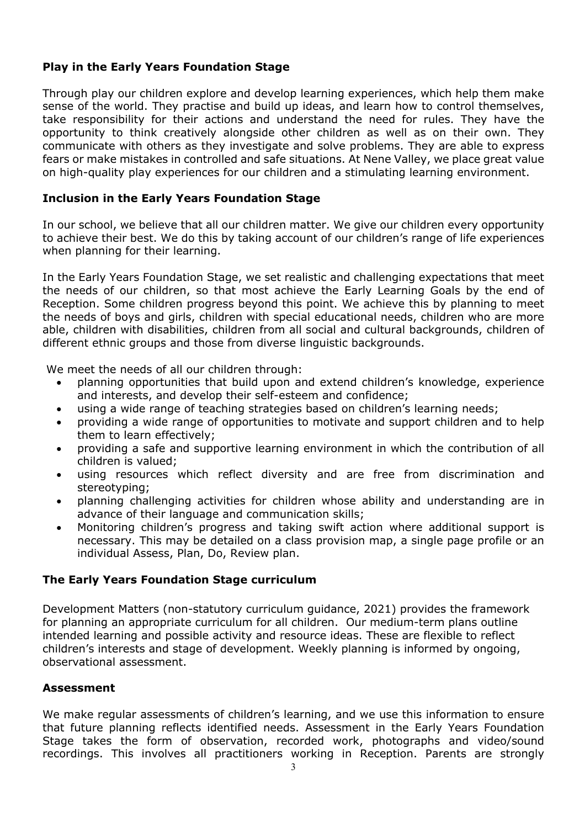# **Play in the Early Years Foundation Stage**

Through play our children explore and develop learning experiences, which help them make sense of the world. They practise and build up ideas, and learn how to control themselves, take responsibility for their actions and understand the need for rules. They have the opportunity to think creatively alongside other children as well as on their own. They communicate with others as they investigate and solve problems. They are able to express fears or make mistakes in controlled and safe situations. At Nene Valley, we place great value on high-quality play experiences for our children and a stimulating learning environment.

## **Inclusion in the Early Years Foundation Stage**

In our school, we believe that all our children matter. We give our children every opportunity to achieve their best. We do this by taking account of our children's range of life experiences when planning for their learning.

In the Early Years Foundation Stage, we set realistic and challenging expectations that meet the needs of our children, so that most achieve the Early Learning Goals by the end of Reception. Some children progress beyond this point. We achieve this by planning to meet the needs of boys and girls, children with special educational needs, children who are more able, children with disabilities, children from all social and cultural backgrounds, children of different ethnic groups and those from diverse linguistic backgrounds.

We meet the needs of all our children through:

- planning opportunities that build upon and extend children's knowledge, experience and interests, and develop their self-esteem and confidence;
- using a wide range of teaching strategies based on children's learning needs;
- providing a wide range of opportunities to motivate and support children and to help them to learn effectively;
- providing a safe and supportive learning environment in which the contribution of all children is valued;
- using resources which reflect diversity and are free from discrimination and stereotyping;
- planning challenging activities for children whose ability and understanding are in advance of their language and communication skills;
- Monitoring children's progress and taking swift action where additional support is necessary. This may be detailed on a class provision map, a single page profile or an individual Assess, Plan, Do, Review plan.

## **The Early Years Foundation Stage curriculum**

Development Matters (non-statutory curriculum guidance, 2021) provides the framework for planning an appropriate curriculum for all children. Our medium-term plans outline intended learning and possible activity and resource ideas. These are flexible to reflect children's interests and stage of development. Weekly planning is informed by ongoing, observational assessment.

#### **Assessment**

We make regular assessments of children's learning, and we use this information to ensure that future planning reflects identified needs. Assessment in the Early Years Foundation Stage takes the form of observation, recorded work, photographs and video/sound recordings. This involves all practitioners working in Reception. Parents are strongly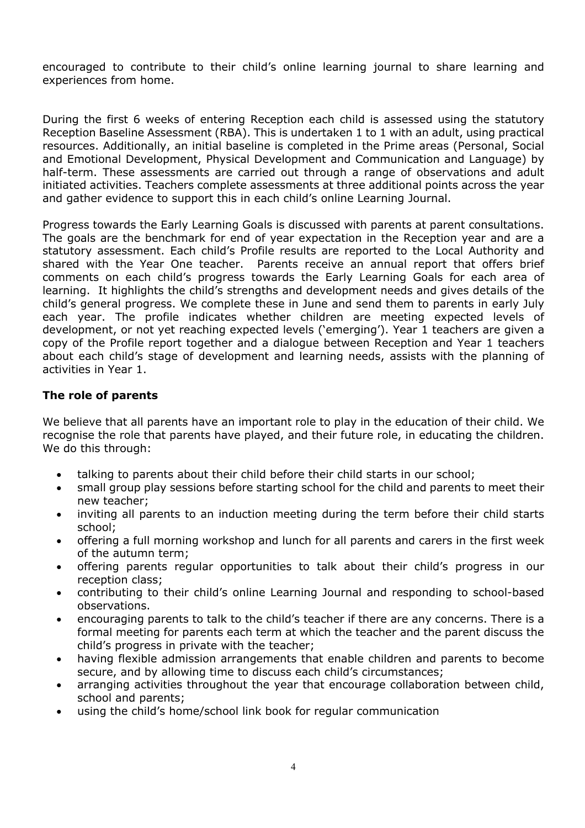encouraged to contribute to their child's online learning journal to share learning and experiences from home.

During the first 6 weeks of entering Reception each child is assessed using the statutory Reception Baseline Assessment (RBA). This is undertaken 1 to 1 with an adult, using practical resources. Additionally, an initial baseline is completed in the Prime areas (Personal, Social and Emotional Development, Physical Development and Communication and Language) by half-term. These assessments are carried out through a range of observations and adult initiated activities. Teachers complete assessments at three additional points across the year and gather evidence to support this in each child's online Learning Journal.

Progress towards the Early Learning Goals is discussed with parents at parent consultations. The goals are the benchmark for end of year expectation in the Reception year and are a statutory assessment. Each child's Profile results are reported to the Local Authority and shared with the Year One teacher. Parents receive an annual report that offers brief comments on each child's progress towards the Early Learning Goals for each area of learning. It highlights the child's strengths and development needs and gives details of the child's general progress. We complete these in June and send them to parents in early July each year. The profile indicates whether children are meeting expected levels of development, or not yet reaching expected levels ('emerging'). Year 1 teachers are given a copy of the Profile report together and a dialogue between Reception and Year 1 teachers about each child's stage of development and learning needs, assists with the planning of activities in Year 1.

## **The role of parents**

We believe that all parents have an important role to play in the education of their child. We recognise the role that parents have played, and their future role, in educating the children. We do this through:

- talking to parents about their child before their child starts in our school;
- small group play sessions before starting school for the child and parents to meet their new teacher;
- inviting all parents to an induction meeting during the term before their child starts school;
- offering a full morning workshop and lunch for all parents and carers in the first week of the autumn term;
- offering parents regular opportunities to talk about their child's progress in our reception class;
- contributing to their child's online Learning Journal and responding to school-based observations.
- encouraging parents to talk to the child's teacher if there are any concerns. There is a formal meeting for parents each term at which the teacher and the parent discuss the child's progress in private with the teacher;
- having flexible admission arrangements that enable children and parents to become secure, and by allowing time to discuss each child's circumstances;
- arranging activities throughout the year that encourage collaboration between child, school and parents;
- using the child's home/school link book for regular communication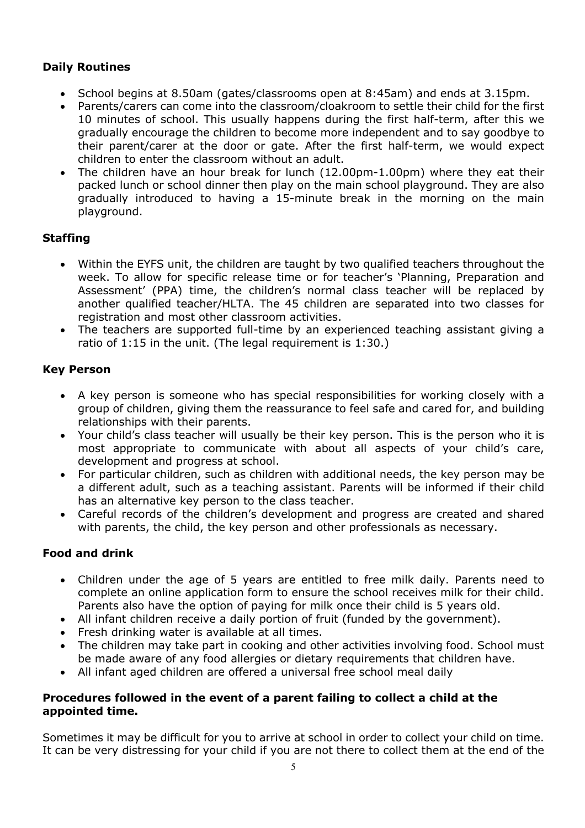# **Daily Routines**

- School begins at 8.50am (gates/classrooms open at 8:45am) and ends at 3.15pm.
- Parents/carers can come into the classroom/cloakroom to settle their child for the first 10 minutes of school. This usually happens during the first half-term, after this we gradually encourage the children to become more independent and to say goodbye to their parent/carer at the door or gate. After the first half-term, we would expect children to enter the classroom without an adult.
- The children have an hour break for lunch (12.00pm-1.00pm) where they eat their packed lunch or school dinner then play on the main school playground. They are also gradually introduced to having a 15-minute break in the morning on the main playground.

## **Staffing**

- Within the EYFS unit, the children are taught by two qualified teachers throughout the week. To allow for specific release time or for teacher's 'Planning, Preparation and Assessment' (PPA) time, the children's normal class teacher will be replaced by another qualified teacher/HLTA. The 45 children are separated into two classes for registration and most other classroom activities.
- The teachers are supported full-time by an experienced teaching assistant giving a ratio of 1:15 in the unit. (The legal requirement is 1:30.)

## **Key Person**

- A key person is someone who has special responsibilities for working closely with a group of children, giving them the reassurance to feel safe and cared for, and building relationships with their parents.
- Your child's class teacher will usually be their key person. This is the person who it is most appropriate to communicate with about all aspects of your child's care, development and progress at school.
- For particular children, such as children with additional needs, the key person may be a different adult, such as a teaching assistant. Parents will be informed if their child has an alternative key person to the class teacher.
- Careful records of the children's development and progress are created and shared with parents, the child, the key person and other professionals as necessary.

## **Food and drink**

- Children under the age of 5 years are entitled to free milk daily. Parents need to complete an online application form to ensure the school receives milk for their child. Parents also have the option of paying for milk once their child is 5 years old.
- All infant children receive a daily portion of fruit (funded by the government).
- Fresh drinking water is available at all times.
- The children may take part in cooking and other activities involving food. School must be made aware of any food allergies or dietary requirements that children have.
- All infant aged children are offered a universal free school meal daily

### **Procedures followed in the event of a parent failing to collect a child at the appointed time.**

Sometimes it may be difficult for you to arrive at school in order to collect your child on time. It can be very distressing for your child if you are not there to collect them at the end of the